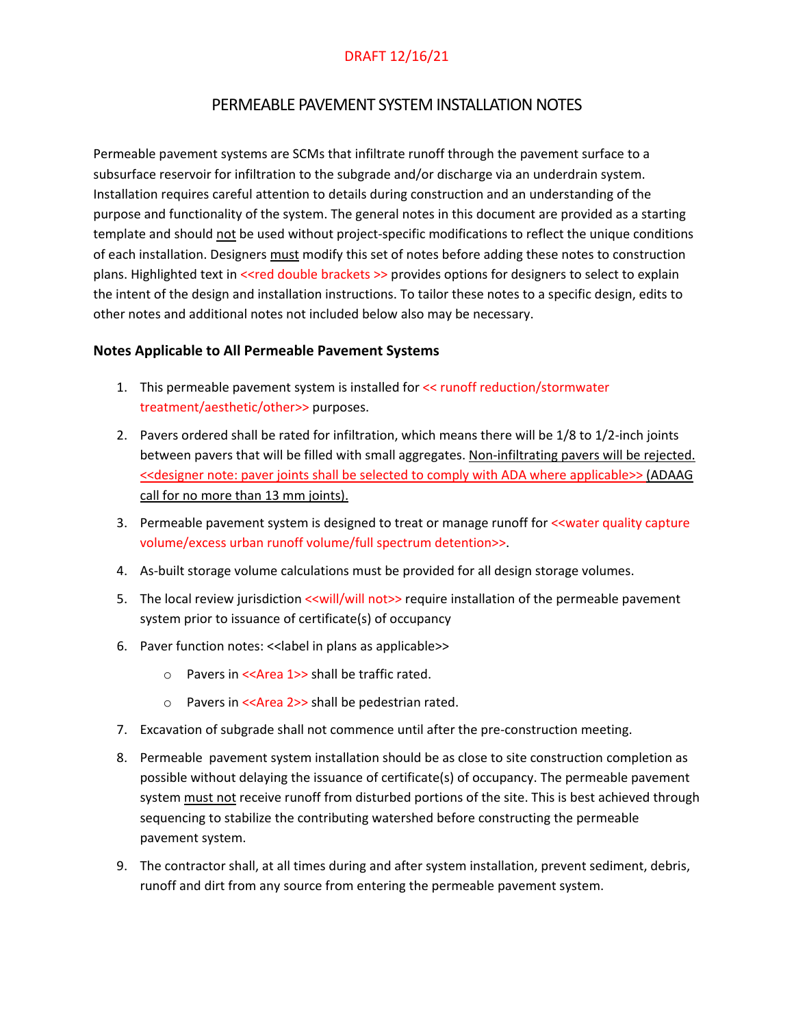### PERMEABLE PAVEMENT SYSTEM INSTALLATION NOTES

Permeable pavement systems are SCMs that infiltrate runoff through the pavement surface to a subsurface reservoir for infiltration to the subgrade and/or discharge via an underdrain system. Installation requires careful attention to details during construction and an understanding of the purpose and functionality of the system. The general notes in this document are provided as a starting template and should not be used without project-specific modifications to reflect the unique conditions of each installation. Designers must modify this set of notes before adding these notes to construction plans. Highlighted text in <<red double brackets >> provides options for designers to select to explain the intent of the design and installation instructions. To tailor these notes to a specific design, edits to other notes and additional notes not included below also may be necessary.

#### **Notes Applicable to All Permeable Pavement Systems**

- 1. This permeable pavement system is installed for << runoff reduction/stormwater treatment/aesthetic/other>> purposes.
- 2. Pavers ordered shall be rated for infiltration, which means there will be 1/8 to 1/2-inch joints between pavers that will be filled with small aggregates. Non-infiltrating pavers will be rejected. << designer note: paver joints shall be selected to comply with ADA where applicable>> (ADAAG call for no more than 13 mm joints).
- 3. Permeable pavement system is designed to treat or manage runoff for <<water quality capture volume/excess urban runoff volume/full spectrum detention>>.
- 4. As-built storage volume calculations must be provided for all design storage volumes.
- 5. The local review jurisdiction << will/will not>> require installation of the permeable pavement system prior to issuance of certificate(s) of occupancy
- 6. Paver function notes: <<label in plans as applicable>>
	- o Pavers in <<Area 1>> shall be traffic rated.
	- o Pavers in <<Area 2>> shall be pedestrian rated.
- 7. Excavation of subgrade shall not commence until after the pre-construction meeting.
- 8. Permeable pavement system installation should be as close to site construction completion as possible without delaying the issuance of certificate(s) of occupancy. The permeable pavement system must not receive runoff from disturbed portions of the site. This is best achieved through sequencing to stabilize the contributing watershed before constructing the permeable pavement system.
- 9. The contractor shall, at all times during and after system installation, prevent sediment, debris, runoff and dirt from any source from entering the permeable pavement system.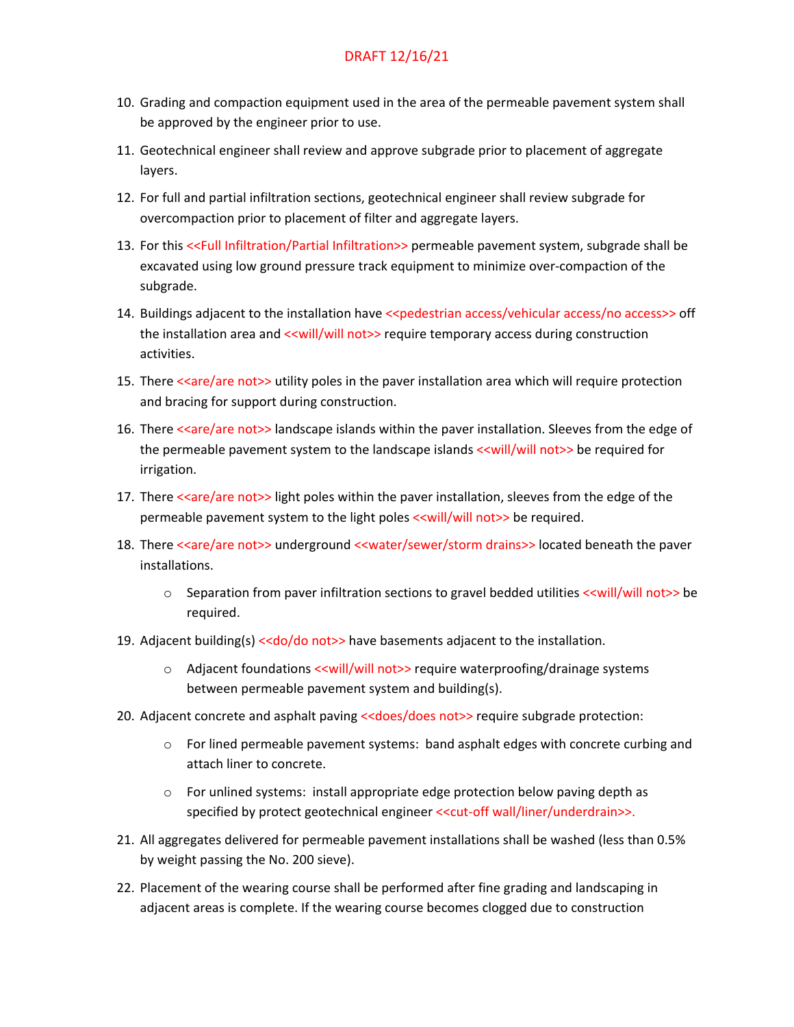- 10. Grading and compaction equipment used in the area of the permeable pavement system shall be approved by the engineer prior to use.
- 11. Geotechnical engineer shall review and approve subgrade prior to placement of aggregate layers.
- 12. For full and partial infiltration sections, geotechnical engineer shall review subgrade for overcompaction prior to placement of filter and aggregate layers.
- 13. For this <<Full Infiltration/Partial Infiltration>> permeable pavement system, subgrade shall be excavated using low ground pressure track equipment to minimize over-compaction of the subgrade.
- 14. Buildings adjacent to the installation have <<pedestrian access/vehicular access/no access>> off the installation area and << will/will not>> require temporary access during construction activities.
- 15. There <<are/are not>> utility poles in the paver installation area which will require protection and bracing for support during construction.
- 16. There <<are/are not>> landscape islands within the paver installation. Sleeves from the edge of the permeable pavement system to the landscape islands << will/will not>> be required for irrigation.
- 17. There <<are/are not>> light poles within the paver installation, sleeves from the edge of the permeable pavement system to the light poles << will/will not >> be required.
- 18. There <<are/are not>> underground <<water/sewer/storm drains>> located beneath the paver installations.
	- $\circ$  Separation from paver infiltration sections to gravel bedded utilities << will/will not >>>>>> required.
- 19. Adjacent building(s) <<do/do not>> have basements adjacent to the installation.
	- o Adjacent foundations << will/will not>> require waterproofing/drainage systems between permeable pavement system and building(s).
- 20. Adjacent concrete and asphalt paving <<does/does not>> require subgrade protection:
	- $\circ$  For lined permeable pavement systems: band asphalt edges with concrete curbing and attach liner to concrete.
	- o For unlined systems: install appropriate edge protection below paving depth as specified by protect geotechnical engineer <<cut-off wall/liner/underdrain>>.
- 21. All aggregates delivered for permeable pavement installations shall be washed (less than 0.5% by weight passing the No. 200 sieve).
- 22. Placement of the wearing course shall be performed after fine grading and landscaping in adjacent areas is complete. If the wearing course becomes clogged due to construction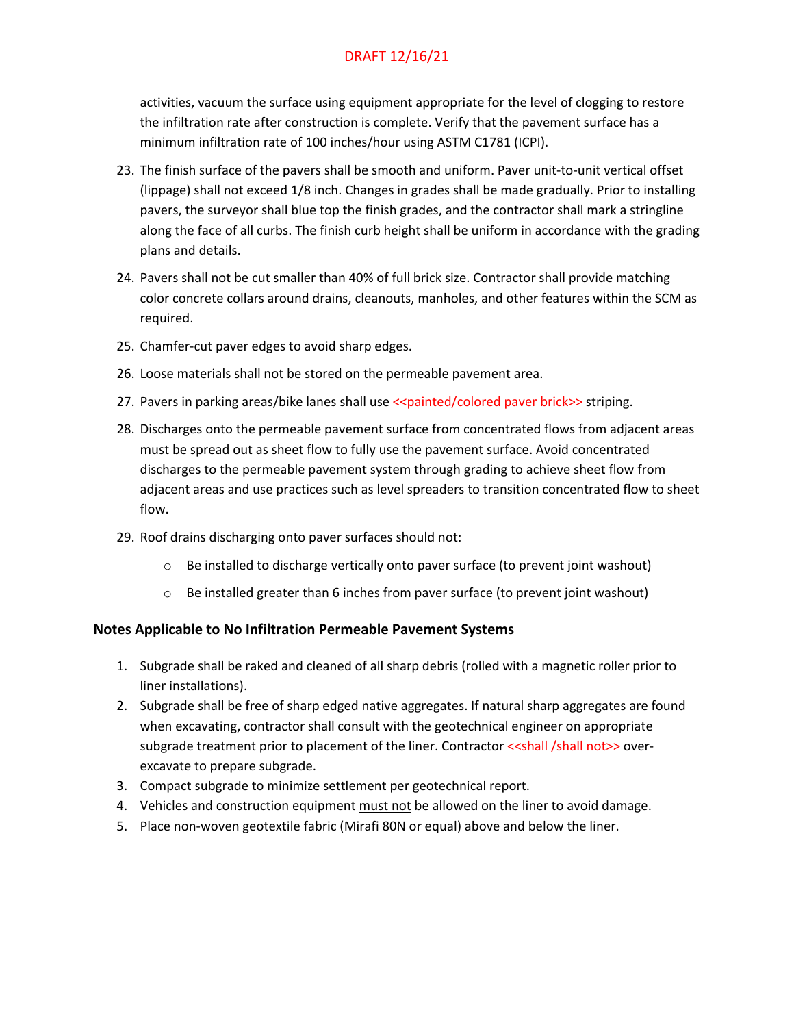activities, vacuum the surface using equipment appropriate for the level of clogging to restore the infiltration rate after construction is complete. Verify that the pavement surface has a minimum infiltration rate of 100 inches/hour using ASTM C1781 (ICPI).

- 23. The finish surface of the pavers shall be smooth and uniform. Paver unit-to-unit vertical offset (lippage) shall not exceed 1/8 inch. Changes in grades shall be made gradually. Prior to installing pavers, the surveyor shall blue top the finish grades, and the contractor shall mark a stringline along the face of all curbs. The finish curb height shall be uniform in accordance with the grading plans and details.
- 24. Pavers shall not be cut smaller than 40% of full brick size. Contractor shall provide matching color concrete collars around drains, cleanouts, manholes, and other features within the SCM as required.
- 25. Chamfer-cut paver edges to avoid sharp edges.
- 26. Loose materials shall not be stored on the permeable pavement area.
- 27. Pavers in parking areas/bike lanes shall use <<painted/colored paver brick>> striping.
- 28. Discharges onto the permeable pavement surface from concentrated flows from adjacent areas must be spread out as sheet flow to fully use the pavement surface. Avoid concentrated discharges to the permeable pavement system through grading to achieve sheet flow from adjacent areas and use practices such as level spreaders to transition concentrated flow to sheet flow.
- 29. Roof drains discharging onto paver surfaces should not:
	- $\circ$  Be installed to discharge vertically onto paver surface (to prevent joint washout)
	- $\circ$  Be installed greater than 6 inches from paver surface (to prevent joint washout)

#### **Notes Applicable to No Infiltration Permeable Pavement Systems**

- 1. Subgrade shall be raked and cleaned of all sharp debris (rolled with a magnetic roller prior to liner installations).
- 2. Subgrade shall be free of sharp edged native aggregates. If natural sharp aggregates are found when excavating, contractor shall consult with the geotechnical engineer on appropriate subgrade treatment prior to placement of the liner. Contractor <<shall /shall not>> overexcavate to prepare subgrade.
- 3. Compact subgrade to minimize settlement per geotechnical report.
- 4. Vehicles and construction equipment must not be allowed on the liner to avoid damage.
- 5. Place non-woven geotextile fabric (Mirafi 80N or equal) above and below the liner.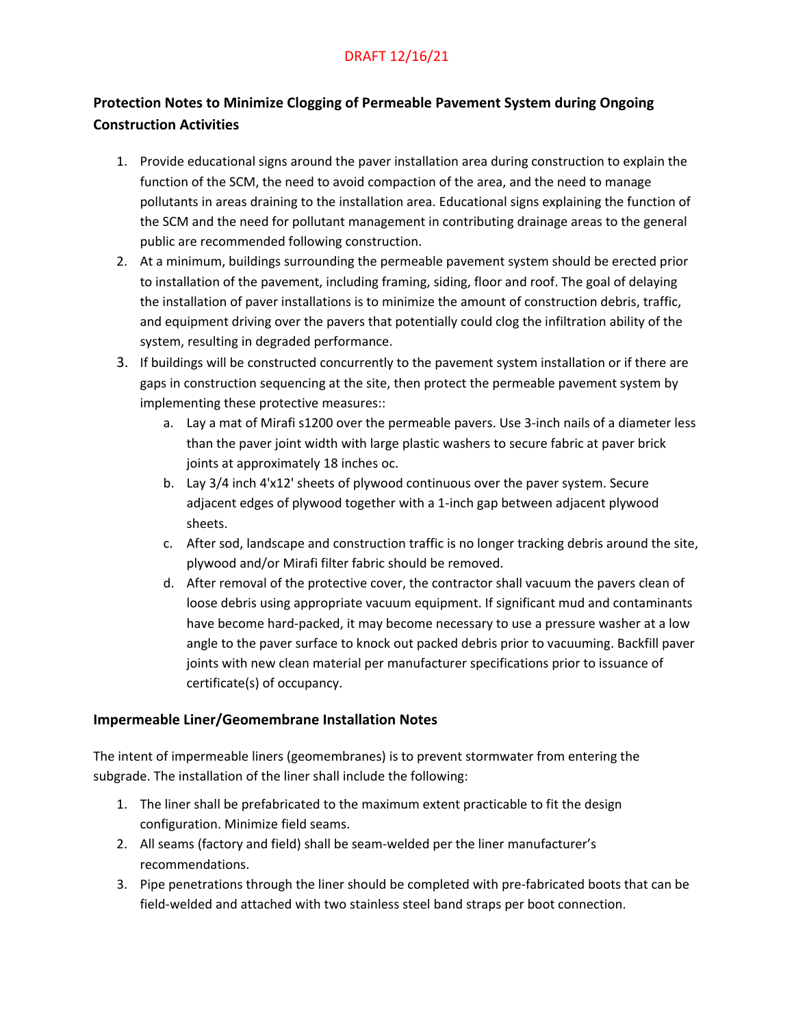# **Protection Notes to Minimize Clogging of Permeable Pavement System during Ongoing Construction Activities**

- 1. Provide educational signs around the paver installation area during construction to explain the function of the SCM, the need to avoid compaction of the area, and the need to manage pollutants in areas draining to the installation area. Educational signs explaining the function of the SCM and the need for pollutant management in contributing drainage areas to the general public are recommended following construction.
- 2. At a minimum, buildings surrounding the permeable pavement system should be erected prior to installation of the pavement, including framing, siding, floor and roof. The goal of delaying the installation of paver installations is to minimize the amount of construction debris, traffic, and equipment driving over the pavers that potentially could clog the infiltration ability of the system, resulting in degraded performance.
- 3. If buildings will be constructed concurrently to the pavement system installation or if there are gaps in construction sequencing at the site, then protect the permeable pavement system by implementing these protective measures::
	- a. Lay a mat of Mirafi s1200 over the permeable pavers. Use 3-inch nails of a diameter less than the paver joint width with large plastic washers to secure fabric at paver brick joints at approximately 18 inches oc.
	- b. Lay 3/4 inch 4'x12' sheets of plywood continuous over the paver system. Secure adjacent edges of plywood together with a 1-inch gap between adjacent plywood sheets.
	- c. After sod, landscape and construction traffic is no longer tracking debris around the site, plywood and/or Mirafi filter fabric should be removed.
	- d. After removal of the protective cover, the contractor shall vacuum the pavers clean of loose debris using appropriate vacuum equipment. If significant mud and contaminants have become hard-packed, it may become necessary to use a pressure washer at a low angle to the paver surface to knock out packed debris prior to vacuuming. Backfill paver joints with new clean material per manufacturer specifications prior to issuance of certificate(s) of occupancy.

### **Impermeable Liner/Geomembrane Installation Notes**

The intent of impermeable liners (geomembranes) is to prevent stormwater from entering the subgrade. The installation of the liner shall include the following:

- 1. The liner shall be prefabricated to the maximum extent practicable to fit the design configuration. Minimize field seams.
- 2. All seams (factory and field) shall be seam-welded per the liner manufacturer's recommendations.
- 3. Pipe penetrations through the liner should be completed with pre-fabricated boots that can be field-welded and attached with two stainless steel band straps per boot connection.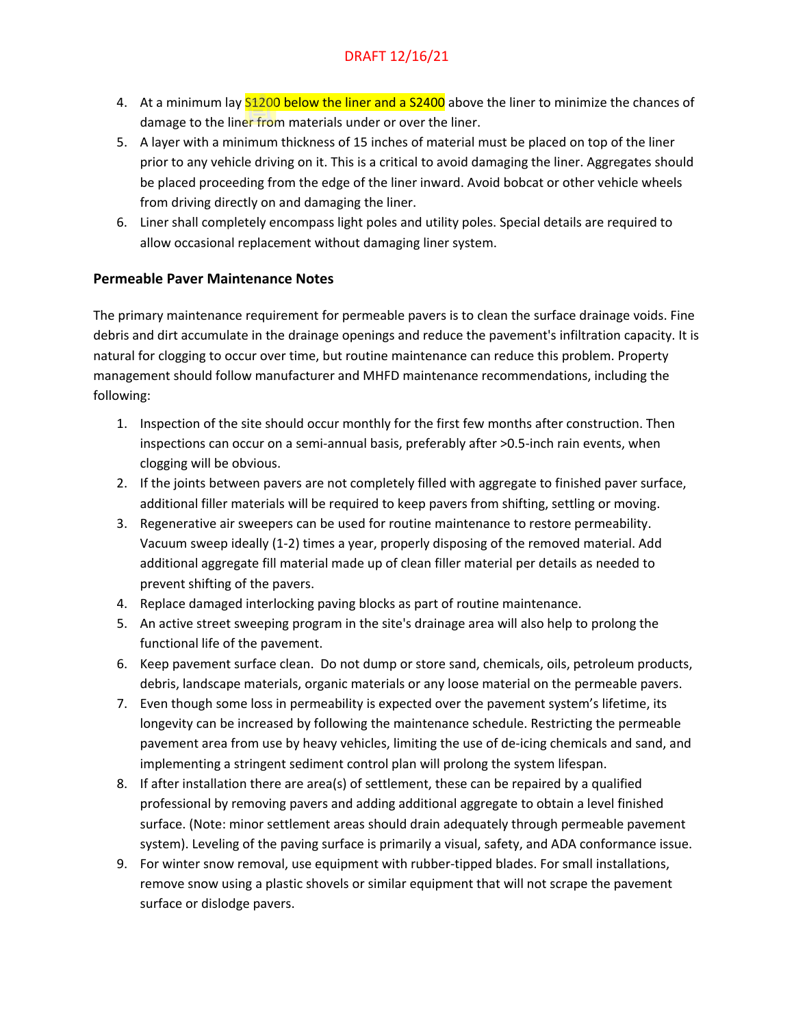- 4. At a minimum lay **S1200 below the liner and a S2400** above the liner to minimize the chances of damage to the liner from materials under or over the liner.
- 5. A layer with a minimum thickness of 15 inches of material must be placed on top of the liner prior to any vehicle driving on it. This is a critical to avoid damaging the liner. Aggregates should be placed proceeding from the edge of the liner inward. Avoid bobcat or other vehicle wheels from driving directly on and damaging the liner.
- 6. Liner shall completely encompass light poles and utility poles. Special details are required to allow occasional replacement without damaging liner system.

#### **Permeable Paver Maintenance Notes**

The primary maintenance requirement for permeable pavers is to clean the surface drainage voids. Fine debris and dirt accumulate in the drainage openings and reduce the pavement's infiltration capacity. It is natural for clogging to occur over time, but routine maintenance can reduce this problem. Property management should follow manufacturer and MHFD maintenance recommendations, including the following:

- 1. Inspection of the site should occur monthly for the first few months after construction. Then inspections can occur on a semi-annual basis, preferably after >0.5-inch rain events, when clogging will be obvious.
- 2. If the joints between pavers are not completely filled with aggregate to finished paver surface, additional filler materials will be required to keep pavers from shifting, settling or moving.
- 3. Regenerative air sweepers can be used for routine maintenance to restore permeability. Vacuum sweep ideally (1-2) times a year, properly disposing of the removed material. Add additional aggregate fill material made up of clean filler material per details as needed to prevent shifting of the pavers.
- 4. Replace damaged interlocking paving blocks as part of routine maintenance.
- 5. An active street sweeping program in the site's drainage area will also help to prolong the functional life of the pavement.
- 6. Keep pavement surface clean. Do not dump or store sand, chemicals, oils, petroleum products, debris, landscape materials, organic materials or any loose material on the permeable pavers.
- 7. Even though some loss in permeability is expected over the pavement system's lifetime, its longevity can be increased by following the maintenance schedule. Restricting the permeable pavement area from use by heavy vehicles, limiting the use of de-icing chemicals and sand, and implementing a stringent sediment control plan will prolong the system lifespan.
- 8. If after installation there are area(s) of settlement, these can be repaired by a qualified professional by removing pavers and adding additional aggregate to obtain a level finished surface. (Note: minor settlement areas should drain adequately through permeable pavement system). Leveling of the paving surface is primarily a visual, safety, and ADA conformance issue.
- 9. For winter snow removal, use equipment with rubber-tipped blades. For small installations, remove snow using a plastic shovels or similar equipment that will not scrape the pavement surface or dislodge pavers.